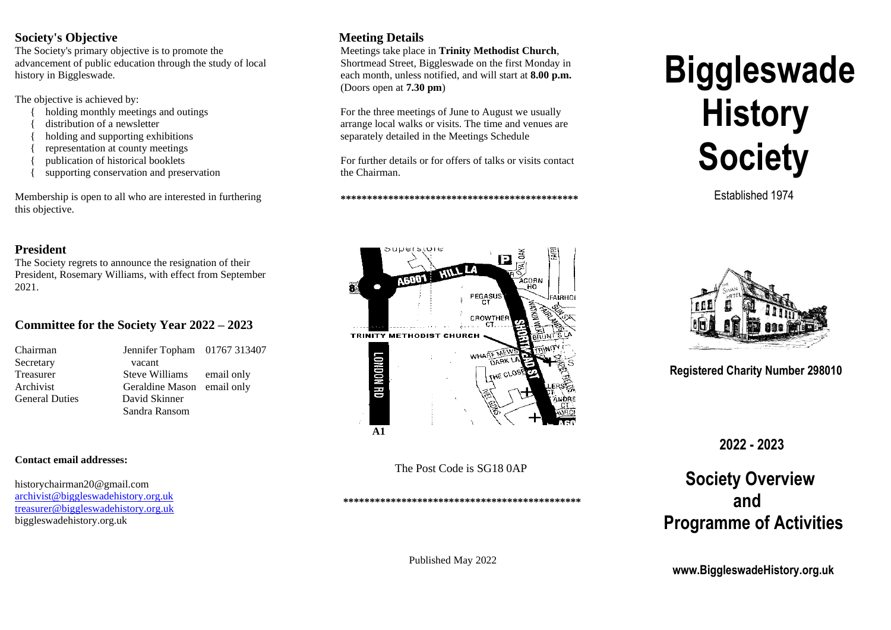#### **Society's Objective**

The Society's primary objective is to promote the advancement of public education through the study of local history in Biggleswade.

The objective is achieved by:

- holding monthly meetings and outings
- distribution of a newsletter
- holding and supporting exhibitions
- { representation at county meetings
- { publication of historical booklets
- supporting conservation and preservation

Membership is open to all who are interested in furthering this objective.

#### **President**

The Society regrets to announce the resignation of their President, Rosemary Williams, with effect from September 2021.

## **Committee for the Society Year 2022 – 2023**

| Chairman              | Jennifer Topham 01767 313407 |  |
|-----------------------|------------------------------|--|
| Secretary             | vacant                       |  |
| Treasurer             | Steve Williams email only    |  |
| Archivist             | Geraldine Mason email only   |  |
| <b>General Duties</b> | David Skinner                |  |
|                       | Sandra Ransom                |  |

#### **Contact email addresses:**

historychairman20@gmail.com [archivist@biggleswadehistory.org.uk](mailto:archivist@biggleswadehistory.org.uk) [treasurer@biggleswadehistory.org.uk](mailto:treasurer@biggleswadehistory.org.uk) biggleswadehistory.org.uk

# **Meeting Details**

 Meetings take place in **Trinity Methodist Church**, Shortmead Street, Biggleswade on the first Monday in each month, unless notified, and will start at **8.00 p.m.** (Doors open at **7.30 pm**)

For the three meetings of June to August we usually arrange local walks or visits. The time and venues are separately detailed in the Meetings Schedule

 For further details or for offers of talks or visits contact the Chairman.

 **\*\*\*\*\*\*\*\*\*\*\*\*\*\*\*\*\*\*\*\*\*\*\*\*\*\*\*\*\*\*\*\*\*\*\*\*\*\*\*\*\*\*\*\*\***



The Post Code is SG18 0AP

 **\*\*\*\*\*\*\*\*\*\*\*\*\*\*\*\*\*\*\*\*\*\*\*\*\*\*\*\*\*\*\*\*\*\*\*\*\*\*\*\*\*\*\*\*\***

# **Biggleswade History Society**

Established 1974



 **Registered Charity Number 298010**

 **2022 - 2023**

# **Society Overview and Programme of Activities**

 **www.BiggleswadeHistory.org.uk**

Published May 2022